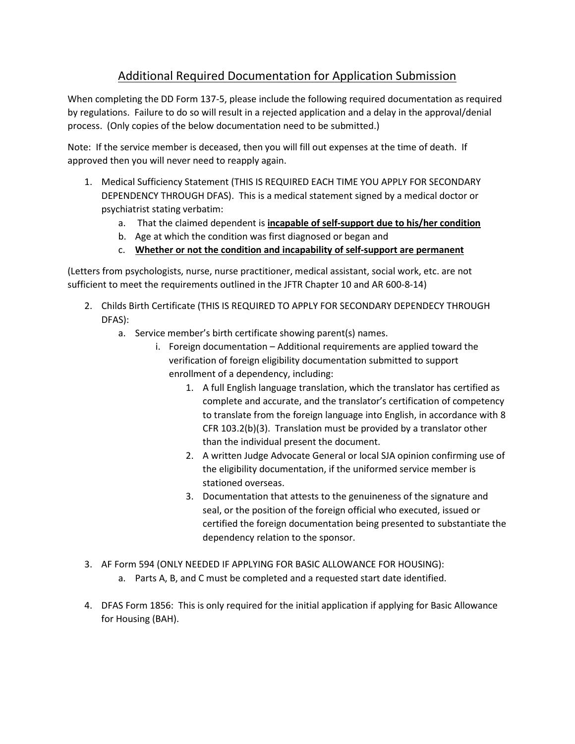## Additional Required Documentation for Application Submission

When completing the DD Form 137-5, please include the following required documentation as required by regulations. Failure to do so will result in a rejected application and a delay in the approval/denial process. (Only copies of the below documentation need to be submitted.)

Note: If the service member is deceased, then you will fill out expenses at the time of death. If approved then you will never need to reapply again.

- 1. Medical Sufficiency Statement (THIS IS REQUIRED EACH TIME YOU APPLY FOR SECONDARY DEPENDENCY THROUGH DFAS). This is a medical statement signed by a medical doctor or psychiatrist stating verbatim:
	- a. That the claimed dependent is **incapable of self-support due to his/her condition**
	- b. Age at which the condition was first diagnosed or began and
	- c. **Whether or not the condition and incapability of self-support are permanent**

(Letters from psychologists, nurse, nurse practitioner, medical assistant, social work, etc. are not sufficient to meet the requirements outlined in the JFTR Chapter 10 and AR 600-8-14)

- 2. Childs Birth Certificate (THIS IS REQUIRED TO APPLY FOR SECONDARY DEPENDECY THROUGH DFAS):
	- a. Service member's birth certificate showing parent(s) names.
		- i. Foreign documentation Additional requirements are applied toward the verification of foreign eligibility documentation submitted to support enrollment of a dependency, including:
			- 1. A full English language translation, which the translator has certified as complete and accurate, and the translator's certification of competency to translate from the foreign language into English, in accordance with 8 CFR 103.2(b)(3). Translation must be provided by a translator other than the individual present the document.
			- 2. A written Judge Advocate General or local SJA opinion confirming use of the eligibility documentation, if the uniformed service member is stationed overseas.
			- 3. Documentation that attests to the genuineness of the signature and seal, or the position of the foreign official who executed, issued or certified the foreign documentation being presented to substantiate the dependency relation to the sponsor.
- 3. AF Form 594 (ONLY NEEDED IF APPLYING FOR BASIC ALLOWANCE FOR HOUSING):
	- a. Parts A, B, and C must be completed and a requested start date identified.
- 4. DFAS Form 1856: This is only required for the initial application if applying for Basic Allowance for Housing (BAH).